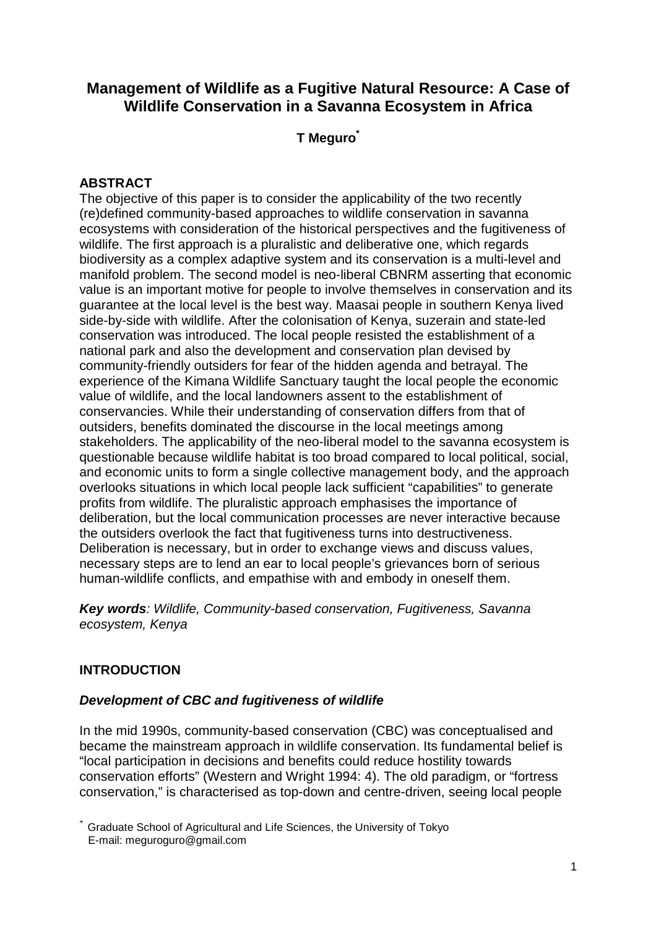# **Management of Wildlife as a Fugitive Natural Resource: A Case of Wildlife Conservation in a Savanna Ecosystem in Africa**

**T Meguro\***

# **ABSTRACT**

The objective of this paper is to consider the applicability of the two recently (re)defined community-based approaches to wildlife conservation in savanna ecosystems with consideration of the historical perspectives and the fugitiveness of wildlife. The first approach is a pluralistic and deliberative one, which regards biodiversity as a complex adaptive system and its conservation is a multi-level and manifold problem. The second model is neo-liberal CBNRM asserting that economic value is an important motive for people to involve themselves in conservation and its guarantee at the local level is the best way. Maasai people in southern Kenya lived side-by-side with wildlife. After the colonisation of Kenya, suzerain and state-led conservation was introduced. The local people resisted the establishment of a national park and also the development and conservation plan devised by community-friendly outsiders for fear of the hidden agenda and betrayal. The experience of the Kimana Wildlife Sanctuary taught the local people the economic value of wildlife, and the local landowners assent to the establishment of conservancies. While their understanding of conservation differs from that of outsiders, benefits dominated the discourse in the local meetings among stakeholders. The applicability of the neo-liberal model to the savanna ecosystem is questionable because wildlife habitat is too broad compared to local political, social, and economic units to form a single collective management body, and the approach overlooks situations in which local people lack sufficient "capabilities" to generate profits from wildlife. The pluralistic approach emphasises the importance of deliberation, but the local communication processes are never interactive because the outsiders overlook the fact that fugitiveness turns into destructiveness. Deliberation is necessary, but in order to exchange views and discuss values, necessary steps are to lend an ear to local people's grievances born of serious human-wildlife conflicts, and empathise with and embody in oneself them.

**Key words**: Wildlife, Community-based conservation, Fugitiveness, Savanna ecosystem, Kenya

# **INTRODUCTION**

### **Development of CBC and fugitiveness of wildlife**

In the mid 1990s, community-based conservation (CBC) was conceptualised and became the mainstream approach in wildlife conservation. Its fundamental belief is "local participation in decisions and benefits could reduce hostility towards conservation efforts" (Western and Wright 1994: 4). The old paradigm, or "fortress conservation," is characterised as top-down and centre-driven, seeing local people

<sup>\*</sup> Graduate School of Agricultural and Life Sciences, the University of Tokyo E-mail: meguroguro@gmail.com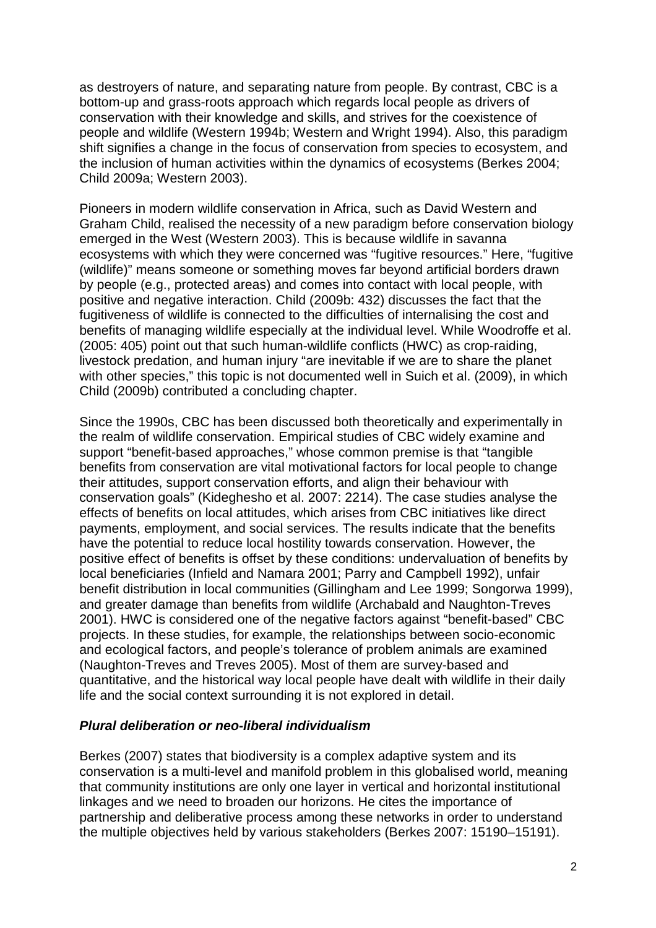as destroyers of nature, and separating nature from people. By contrast, CBC is a bottom-up and grass-roots approach which regards local people as drivers of conservation with their knowledge and skills, and strives for the coexistence of people and wildlife (Western 1994b; Western and Wright 1994). Also, this paradigm shift signifies a change in the focus of conservation from species to ecosystem, and the inclusion of human activities within the dynamics of ecosystems (Berkes 2004; Child 2009a; Western 2003).

Pioneers in modern wildlife conservation in Africa, such as David Western and Graham Child, realised the necessity of a new paradigm before conservation biology emerged in the West (Western 2003). This is because wildlife in savanna ecosystems with which they were concerned was "fugitive resources." Here, "fugitive (wildlife)" means someone or something moves far beyond artificial borders drawn by people (e.g., protected areas) and comes into contact with local people, with positive and negative interaction. Child (2009b: 432) discusses the fact that the fugitiveness of wildlife is connected to the difficulties of internalising the cost and benefits of managing wildlife especially at the individual level. While Woodroffe et al. (2005: 405) point out that such human-wildlife conflicts (HWC) as crop-raiding, livestock predation, and human injury "are inevitable if we are to share the planet with other species," this topic is not documented well in Suich et al. (2009), in which Child (2009b) contributed a concluding chapter.

Since the 1990s, CBC has been discussed both theoretically and experimentally in the realm of wildlife conservation. Empirical studies of CBC widely examine and support "benefit-based approaches," whose common premise is that "tangible benefits from conservation are vital motivational factors for local people to change their attitudes, support conservation efforts, and align their behaviour with conservation goals" (Kideghesho et al. 2007: 2214). The case studies analyse the effects of benefits on local attitudes, which arises from CBC initiatives like direct payments, employment, and social services. The results indicate that the benefits have the potential to reduce local hostility towards conservation. However, the positive effect of benefits is offset by these conditions: undervaluation of benefits by local beneficiaries (Infield and Namara 2001; Parry and Campbell 1992), unfair benefit distribution in local communities (Gillingham and Lee 1999; Songorwa 1999), and greater damage than benefits from wildlife (Archabald and Naughton-Treves 2001). HWC is considered one of the negative factors against "benefit-based" CBC projects. In these studies, for example, the relationships between socio-economic and ecological factors, and people's tolerance of problem animals are examined (Naughton-Treves and Treves 2005). Most of them are survey-based and quantitative, and the historical way local people have dealt with wildlife in their daily life and the social context surrounding it is not explored in detail.

### **Plural deliberation or neo-liberal individualism**

Berkes (2007) states that biodiversity is a complex adaptive system and its conservation is a multi-level and manifold problem in this globalised world, meaning that community institutions are only one layer in vertical and horizontal institutional linkages and we need to broaden our horizons. He cites the importance of partnership and deliberative process among these networks in order to understand the multiple objectives held by various stakeholders (Berkes 2007: 15190–15191).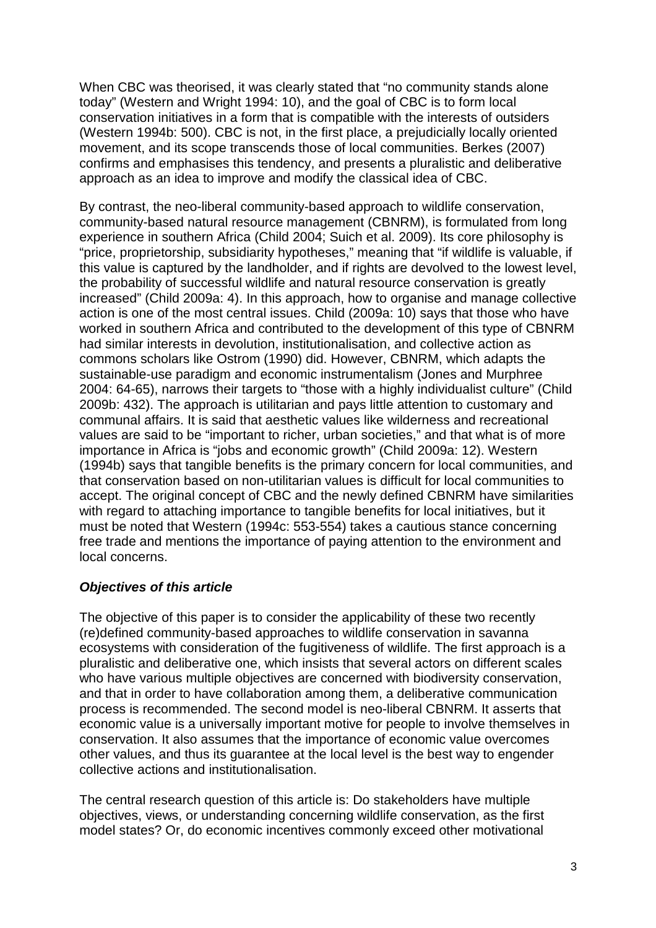When CBC was theorised, it was clearly stated that "no community stands alone today" (Western and Wright 1994: 10), and the goal of CBC is to form local conservation initiatives in a form that is compatible with the interests of outsiders (Western 1994b: 500). CBC is not, in the first place, a prejudicially locally oriented movement, and its scope transcends those of local communities. Berkes (2007) confirms and emphasises this tendency, and presents a pluralistic and deliberative approach as an idea to improve and modify the classical idea of CBC.

By contrast, the neo-liberal community-based approach to wildlife conservation, community-based natural resource management (CBNRM), is formulated from long experience in southern Africa (Child 2004; Suich et al. 2009). Its core philosophy is "price, proprietorship, subsidiarity hypotheses," meaning that "if wildlife is valuable, if this value is captured by the landholder, and if rights are devolved to the lowest level, the probability of successful wildlife and natural resource conservation is greatly increased" (Child 2009a: 4). In this approach, how to organise and manage collective action is one of the most central issues. Child (2009a: 10) says that those who have worked in southern Africa and contributed to the development of this type of CBNRM had similar interests in devolution, institutionalisation, and collective action as commons scholars like Ostrom (1990) did. However, CBNRM, which adapts the sustainable-use paradigm and economic instrumentalism (Jones and Murphree 2004: 64-65), narrows their targets to "those with a highly individualist culture" (Child 2009b: 432). The approach is utilitarian and pays little attention to customary and communal affairs. It is said that aesthetic values like wilderness and recreational values are said to be "important to richer, urban societies," and that what is of more importance in Africa is "jobs and economic growth" (Child 2009a: 12). Western (1994b) says that tangible benefits is the primary concern for local communities, and that conservation based on non-utilitarian values is difficult for local communities to accept. The original concept of CBC and the newly defined CBNRM have similarities with regard to attaching importance to tangible benefits for local initiatives, but it must be noted that Western (1994c: 553-554) takes a cautious stance concerning free trade and mentions the importance of paying attention to the environment and local concerns.

# **Objectives of this article**

The objective of this paper is to consider the applicability of these two recently (re)defined community-based approaches to wildlife conservation in savanna ecosystems with consideration of the fugitiveness of wildlife. The first approach is a pluralistic and deliberative one, which insists that several actors on different scales who have various multiple objectives are concerned with biodiversity conservation, and that in order to have collaboration among them, a deliberative communication process is recommended. The second model is neo-liberal CBNRM. It asserts that economic value is a universally important motive for people to involve themselves in conservation. It also assumes that the importance of economic value overcomes other values, and thus its guarantee at the local level is the best way to engender collective actions and institutionalisation.

The central research question of this article is: Do stakeholders have multiple objectives, views, or understanding concerning wildlife conservation, as the first model states? Or, do economic incentives commonly exceed other motivational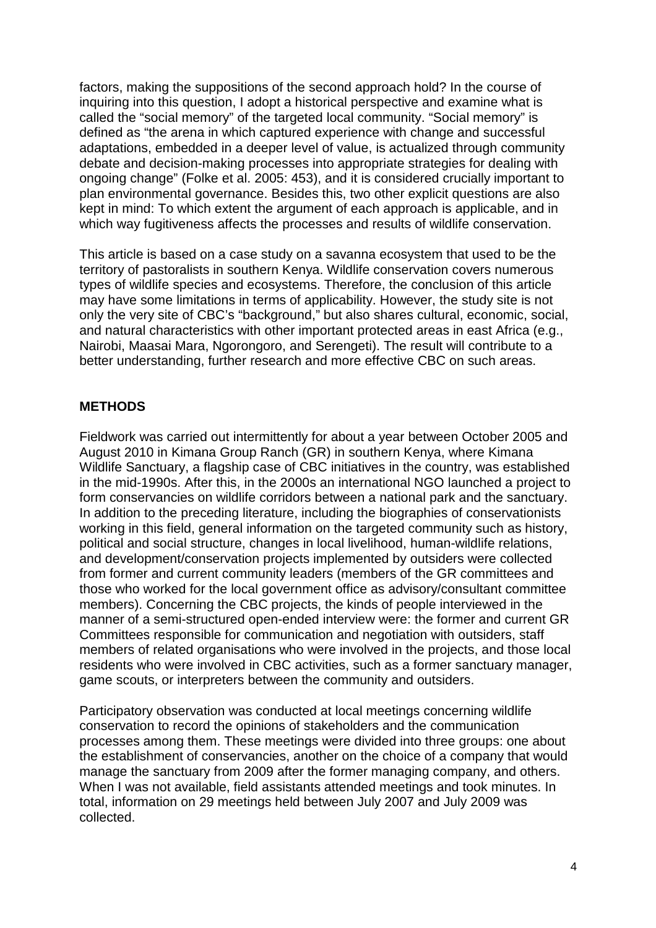factors, making the suppositions of the second approach hold? In the course of inquiring into this question, I adopt a historical perspective and examine what is called the "social memory" of the targeted local community. "Social memory" is defined as "the arena in which captured experience with change and successful adaptations, embedded in a deeper level of value, is actualized through community debate and decision-making processes into appropriate strategies for dealing with ongoing change" (Folke et al. 2005: 453), and it is considered crucially important to plan environmental governance. Besides this, two other explicit questions are also kept in mind: To which extent the argument of each approach is applicable, and in which way fugitiveness affects the processes and results of wildlife conservation.

This article is based on a case study on a savanna ecosystem that used to be the territory of pastoralists in southern Kenya. Wildlife conservation covers numerous types of wildlife species and ecosystems. Therefore, the conclusion of this article may have some limitations in terms of applicability. However, the study site is not only the very site of CBC's "background," but also shares cultural, economic, social, and natural characteristics with other important protected areas in east Africa (e.g., Nairobi, Maasai Mara, Ngorongoro, and Serengeti). The result will contribute to a better understanding, further research and more effective CBC on such areas.

### **METHODS**

Fieldwork was carried out intermittently for about a year between October 2005 and August 2010 in Kimana Group Ranch (GR) in southern Kenya, where Kimana Wildlife Sanctuary, a flagship case of CBC initiatives in the country, was established in the mid-1990s. After this, in the 2000s an international NGO launched a project to form conservancies on wildlife corridors between a national park and the sanctuary. In addition to the preceding literature, including the biographies of conservationists working in this field, general information on the targeted community such as history, political and social structure, changes in local livelihood, human-wildlife relations, and development/conservation projects implemented by outsiders were collected from former and current community leaders (members of the GR committees and those who worked for the local government office as advisory/consultant committee members). Concerning the CBC projects, the kinds of people interviewed in the manner of a semi-structured open-ended interview were: the former and current GR Committees responsible for communication and negotiation with outsiders, staff members of related organisations who were involved in the projects, and those local residents who were involved in CBC activities, such as a former sanctuary manager, game scouts, or interpreters between the community and outsiders.

Participatory observation was conducted at local meetings concerning wildlife conservation to record the opinions of stakeholders and the communication processes among them. These meetings were divided into three groups: one about the establishment of conservancies, another on the choice of a company that would manage the sanctuary from 2009 after the former managing company, and others. When I was not available, field assistants attended meetings and took minutes. In total, information on 29 meetings held between July 2007 and July 2009 was collected.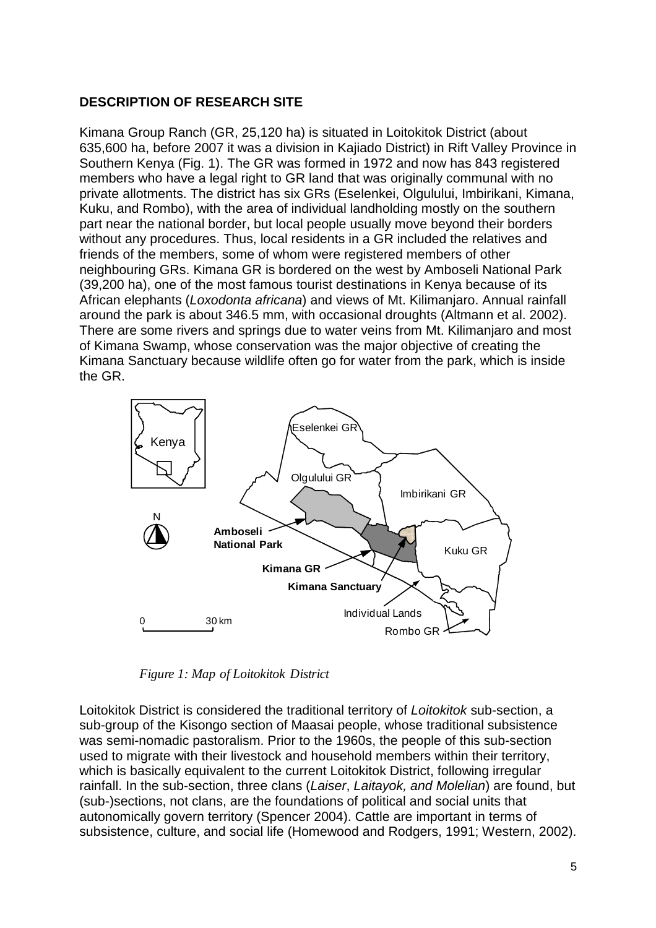# **DESCRIPTION OF RESEARCH SITE**

Kimana Group Ranch (GR, 25,120 ha) is situated in Loitokitok District (about 635,600 ha, before 2007 it was a division in Kajiado District) in Rift Valley Province in Southern Kenya (Fig. 1). The GR was formed in 1972 and now has 843 registered members who have a legal right to GR land that was originally communal with no private allotments. The district has six GRs (Eselenkei, Olgulului, Imbirikani, Kimana, Kuku, and Rombo), with the area of individual landholding mostly on the southern part near the national border, but local people usually move beyond their borders without any procedures. Thus, local residents in a GR included the relatives and friends of the members, some of whom were registered members of other neighbouring GRs. Kimana GR is bordered on the west by Amboseli National Park (39,200 ha), one of the most famous tourist destinations in Kenya because of its African elephants (Loxodonta africana) and views of Mt. Kilimanjaro. Annual rainfall around the park is about 346.5 mm, with occasional droughts (Altmann et al. 2002). There are some rivers and springs due to water veins from Mt. Kilimanjaro and most of Kimana Swamp, whose conservation was the major objective of creating the Kimana Sanctuary because wildlife often go for water from the park, which is inside the GR.



*Figure 1: Map of Loitokitok District*

Loitokitok District is considered the traditional territory of Loitokitok sub-section, a sub-group of the Kisongo section of Maasai people, whose traditional subsistence was semi-nomadic pastoralism. Prior to the 1960s, the people of this sub-section used to migrate with their livestock and household members within their territory, which is basically equivalent to the current Loitokitok District, following irregular rainfall. In the sub-section, three clans (Laiser, Laitayok, and Molelian) are found, but (sub-)sections, not clans, are the foundations of political and social units that autonomically govern territory (Spencer 2004). Cattle are important in terms of subsistence, culture, and social life (Homewood and Rodgers, 1991; Western, 2002).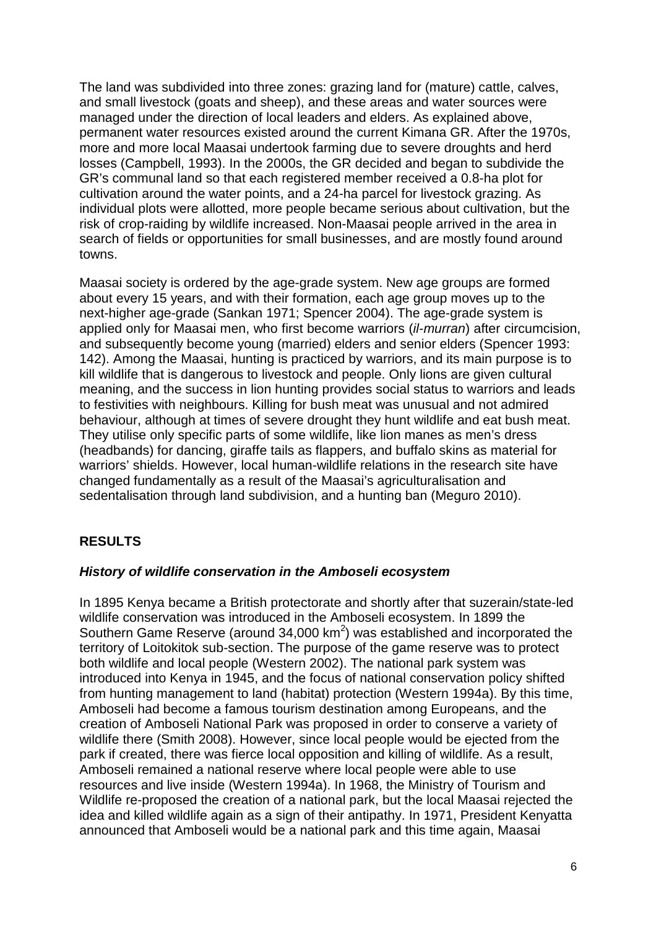The land was subdivided into three zones: grazing land for (mature) cattle, calves, and small livestock (goats and sheep), and these areas and water sources were managed under the direction of local leaders and elders. As explained above, permanent water resources existed around the current Kimana GR. After the 1970s, more and more local Maasai undertook farming due to severe droughts and herd losses (Campbell, 1993). In the 2000s, the GR decided and began to subdivide the GR's communal land so that each registered member received a 0.8-ha plot for cultivation around the water points, and a 24-ha parcel for livestock grazing. As individual plots were allotted, more people became serious about cultivation, but the risk of crop-raiding by wildlife increased. Non-Maasai people arrived in the area in search of fields or opportunities for small businesses, and are mostly found around towns.

Maasai society is ordered by the age-grade system. New age groups are formed about every 15 years, and with their formation, each age group moves up to the next-higher age-grade (Sankan 1971; Spencer 2004). The age-grade system is applied only for Maasai men, who first become warriors (il-murran) after circumcision, and subsequently become young (married) elders and senior elders (Spencer 1993: 142). Among the Maasai, hunting is practiced by warriors, and its main purpose is to kill wildlife that is dangerous to livestock and people. Only lions are given cultural meaning, and the success in lion hunting provides social status to warriors and leads to festivities with neighbours. Killing for bush meat was unusual and not admired behaviour, although at times of severe drought they hunt wildlife and eat bush meat. They utilise only specific parts of some wildlife, like lion manes as men's dress (headbands) for dancing, giraffe tails as flappers, and buffalo skins as material for warriors' shields. However, local human-wildlife relations in the research site have changed fundamentally as a result of the Maasai's agriculturalisation and sedentalisation through land subdivision, and a hunting ban (Meguro 2010).

# **RESULTS**

### **History of wildlife conservation in the Amboseli ecosystem**

In 1895 Kenya became a British protectorate and shortly after that suzerain/state-led wildlife conservation was introduced in the Amboseli ecosystem. In 1899 the Southern Game Reserve (around 34,000  $km^2$ ) was established and incorporated the territory of Loitokitok sub-section. The purpose of the game reserve was to protect both wildlife and local people (Western 2002). The national park system was introduced into Kenya in 1945, and the focus of national conservation policy shifted from hunting management to land (habitat) protection (Western 1994a). By this time, Amboseli had become a famous tourism destination among Europeans, and the creation of Amboseli National Park was proposed in order to conserve a variety of wildlife there (Smith 2008). However, since local people would be ejected from the park if created, there was fierce local opposition and killing of wildlife. As a result, Amboseli remained a national reserve where local people were able to use resources and live inside (Western 1994a). In 1968, the Ministry of Tourism and Wildlife re-proposed the creation of a national park, but the local Maasai rejected the idea and killed wildlife again as a sign of their antipathy. In 1971, President Kenyatta announced that Amboseli would be a national park and this time again, Maasai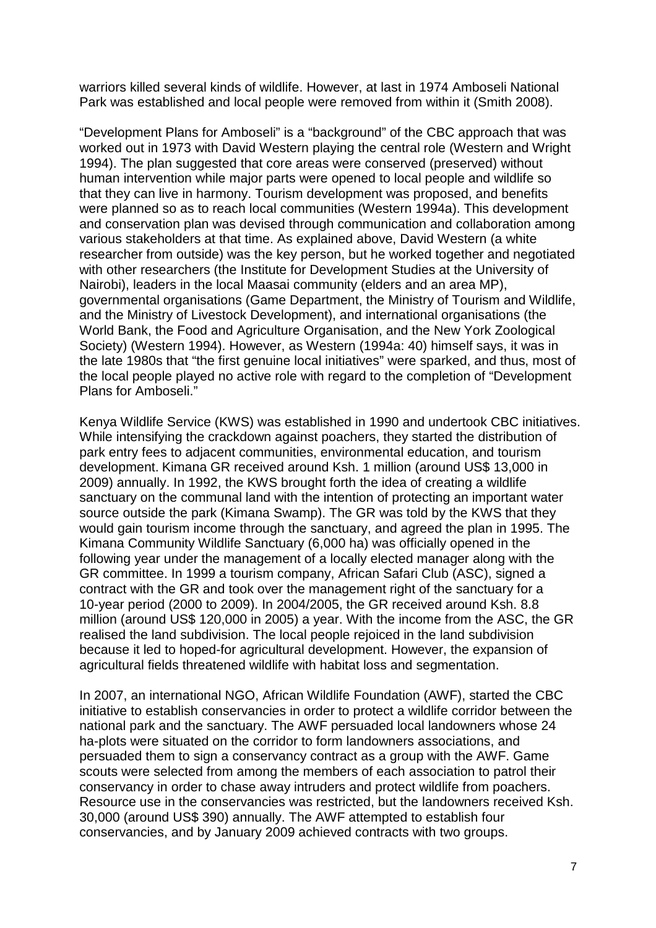warriors killed several kinds of wildlife. However, at last in 1974 Amboseli National Park was established and local people were removed from within it (Smith 2008).

"Development Plans for Amboseli" is a "background" of the CBC approach that was worked out in 1973 with David Western playing the central role (Western and Wright 1994). The plan suggested that core areas were conserved (preserved) without human intervention while major parts were opened to local people and wildlife so that they can live in harmony. Tourism development was proposed, and benefits were planned so as to reach local communities (Western 1994a). This development and conservation plan was devised through communication and collaboration among various stakeholders at that time. As explained above, David Western (a white researcher from outside) was the key person, but he worked together and negotiated with other researchers (the Institute for Development Studies at the University of Nairobi), leaders in the local Maasai community (elders and an area MP), governmental organisations (Game Department, the Ministry of Tourism and Wildlife, and the Ministry of Livestock Development), and international organisations (the World Bank, the Food and Agriculture Organisation, and the New York Zoological Society) (Western 1994). However, as Western (1994a: 40) himself says, it was in the late 1980s that "the first genuine local initiatives" were sparked, and thus, most of the local people played no active role with regard to the completion of "Development Plans for Amboseli."

Kenya Wildlife Service (KWS) was established in 1990 and undertook CBC initiatives. While intensifying the crackdown against poachers, they started the distribution of park entry fees to adjacent communities, environmental education, and tourism development. Kimana GR received around Ksh. 1 million (around US\$ 13,000 in 2009) annually. In 1992, the KWS brought forth the idea of creating a wildlife sanctuary on the communal land with the intention of protecting an important water source outside the park (Kimana Swamp). The GR was told by the KWS that they would gain tourism income through the sanctuary, and agreed the plan in 1995. The Kimana Community Wildlife Sanctuary (6,000 ha) was officially opened in the following year under the management of a locally elected manager along with the GR committee. In 1999 a tourism company, African Safari Club (ASC), signed a contract with the GR and took over the management right of the sanctuary for a 10-year period (2000 to 2009). In 2004/2005, the GR received around Ksh. 8.8 million (around US\$ 120,000 in 2005) a year. With the income from the ASC, the GR realised the land subdivision. The local people rejoiced in the land subdivision because it led to hoped-for agricultural development. However, the expansion of agricultural fields threatened wildlife with habitat loss and segmentation.

In 2007, an international NGO, African Wildlife Foundation (AWF), started the CBC initiative to establish conservancies in order to protect a wildlife corridor between the national park and the sanctuary. The AWF persuaded local landowners whose 24 ha-plots were situated on the corridor to form landowners associations, and persuaded them to sign a conservancy contract as a group with the AWF. Game scouts were selected from among the members of each association to patrol their conservancy in order to chase away intruders and protect wildlife from poachers. Resource use in the conservancies was restricted, but the landowners received Ksh. 30,000 (around US\$ 390) annually. The AWF attempted to establish four conservancies, and by January 2009 achieved contracts with two groups.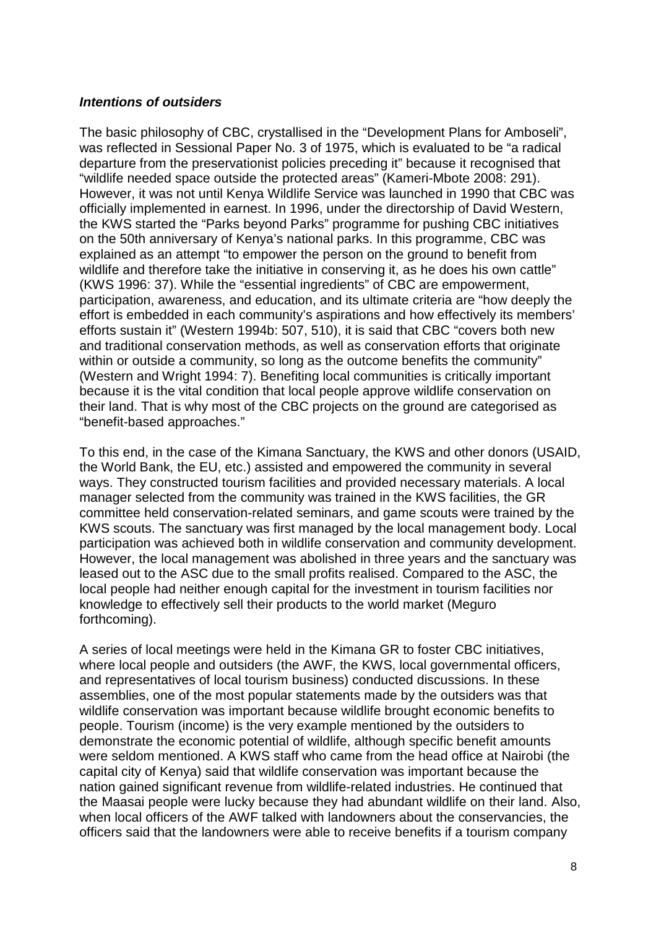#### **Intentions of outsiders**

The basic philosophy of CBC, crystallised in the "Development Plans for Amboseli", was reflected in Sessional Paper No. 3 of 1975, which is evaluated to be "a radical departure from the preservationist policies preceding it" because it recognised that "wildlife needed space outside the protected areas" (Kameri-Mbote 2008: 291). However, it was not until Kenya Wildlife Service was launched in 1990 that CBC was officially implemented in earnest. In 1996, under the directorship of David Western, the KWS started the "Parks beyond Parks" programme for pushing CBC initiatives on the 50th anniversary of Kenya's national parks. In this programme, CBC was explained as an attempt "to empower the person on the ground to benefit from wildlife and therefore take the initiative in conserving it, as he does his own cattle" (KWS 1996: 37). While the "essential ingredients" of CBC are empowerment, participation, awareness, and education, and its ultimate criteria are "how deeply the effort is embedded in each community's aspirations and how effectively its members' efforts sustain it" (Western 1994b: 507, 510), it is said that CBC "covers both new and traditional conservation methods, as well as conservation efforts that originate within or outside a community, so long as the outcome benefits the community" (Western and Wright 1994: 7). Benefiting local communities is critically important because it is the vital condition that local people approve wildlife conservation on their land. That is why most of the CBC projects on the ground are categorised as "benefit-based approaches."

To this end, in the case of the Kimana Sanctuary, the KWS and other donors (USAID, the World Bank, the EU, etc.) assisted and empowered the community in several ways. They constructed tourism facilities and provided necessary materials. A local manager selected from the community was trained in the KWS facilities, the GR committee held conservation-related seminars, and game scouts were trained by the KWS scouts. The sanctuary was first managed by the local management body. Local participation was achieved both in wildlife conservation and community development. However, the local management was abolished in three years and the sanctuary was leased out to the ASC due to the small profits realised. Compared to the ASC, the local people had neither enough capital for the investment in tourism facilities nor knowledge to effectively sell their products to the world market (Meguro forthcoming).

A series of local meetings were held in the Kimana GR to foster CBC initiatives, where local people and outsiders (the AWF, the KWS, local governmental officers, and representatives of local tourism business) conducted discussions. In these assemblies, one of the most popular statements made by the outsiders was that wildlife conservation was important because wildlife brought economic benefits to people. Tourism (income) is the very example mentioned by the outsiders to demonstrate the economic potential of wildlife, although specific benefit amounts were seldom mentioned. A KWS staff who came from the head office at Nairobi (the capital city of Kenya) said that wildlife conservation was important because the nation gained significant revenue from wildlife-related industries. He continued that the Maasai people were lucky because they had abundant wildlife on their land. Also, when local officers of the AWF talked with landowners about the conservancies, the officers said that the landowners were able to receive benefits if a tourism company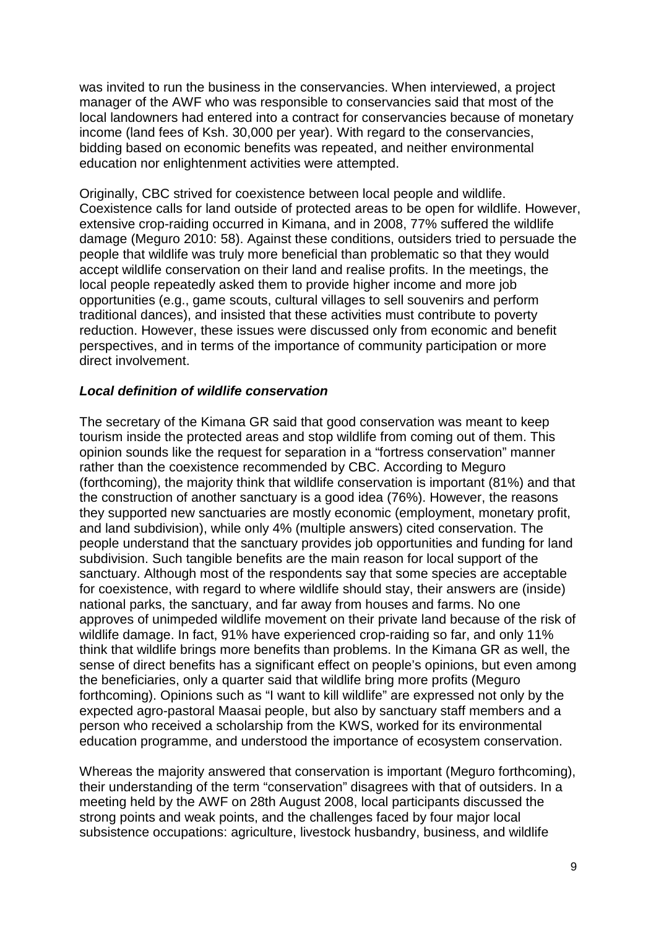was invited to run the business in the conservancies. When interviewed, a project manager of the AWF who was responsible to conservancies said that most of the local landowners had entered into a contract for conservancies because of monetary income (land fees of Ksh. 30,000 per year). With regard to the conservancies, bidding based on economic benefits was repeated, and neither environmental education nor enlightenment activities were attempted.

Originally, CBC strived for coexistence between local people and wildlife. Coexistence calls for land outside of protected areas to be open for wildlife. However, extensive crop-raiding occurred in Kimana, and in 2008, 77% suffered the wildlife damage (Meguro 2010: 58). Against these conditions, outsiders tried to persuade the people that wildlife was truly more beneficial than problematic so that they would accept wildlife conservation on their land and realise profits. In the meetings, the local people repeatedly asked them to provide higher income and more job opportunities (e.g., game scouts, cultural villages to sell souvenirs and perform traditional dances), and insisted that these activities must contribute to poverty reduction. However, these issues were discussed only from economic and benefit perspectives, and in terms of the importance of community participation or more direct involvement.

### **Local definition of wildlife conservation**

The secretary of the Kimana GR said that good conservation was meant to keep tourism inside the protected areas and stop wildlife from coming out of them. This opinion sounds like the request for separation in a "fortress conservation" manner rather than the coexistence recommended by CBC. According to Meguro (forthcoming), the majority think that wildlife conservation is important (81%) and that the construction of another sanctuary is a good idea (76%). However, the reasons they supported new sanctuaries are mostly economic (employment, monetary profit, and land subdivision), while only 4% (multiple answers) cited conservation. The people understand that the sanctuary provides job opportunities and funding for land subdivision. Such tangible benefits are the main reason for local support of the sanctuary. Although most of the respondents say that some species are acceptable for coexistence, with regard to where wildlife should stay, their answers are (inside) national parks, the sanctuary, and far away from houses and farms. No one approves of unimpeded wildlife movement on their private land because of the risk of wildlife damage. In fact, 91% have experienced crop-raiding so far, and only 11% think that wildlife brings more benefits than problems. In the Kimana GR as well, the sense of direct benefits has a significant effect on people's opinions, but even among the beneficiaries, only a quarter said that wildlife bring more profits (Meguro forthcoming). Opinions such as "I want to kill wildlife" are expressed not only by the expected agro-pastoral Maasai people, but also by sanctuary staff members and a person who received a scholarship from the KWS, worked for its environmental education programme, and understood the importance of ecosystem conservation.

Whereas the majority answered that conservation is important (Meguro forthcoming), their understanding of the term "conservation" disagrees with that of outsiders. In a meeting held by the AWF on 28th August 2008, local participants discussed the strong points and weak points, and the challenges faced by four major local subsistence occupations: agriculture, livestock husbandry, business, and wildlife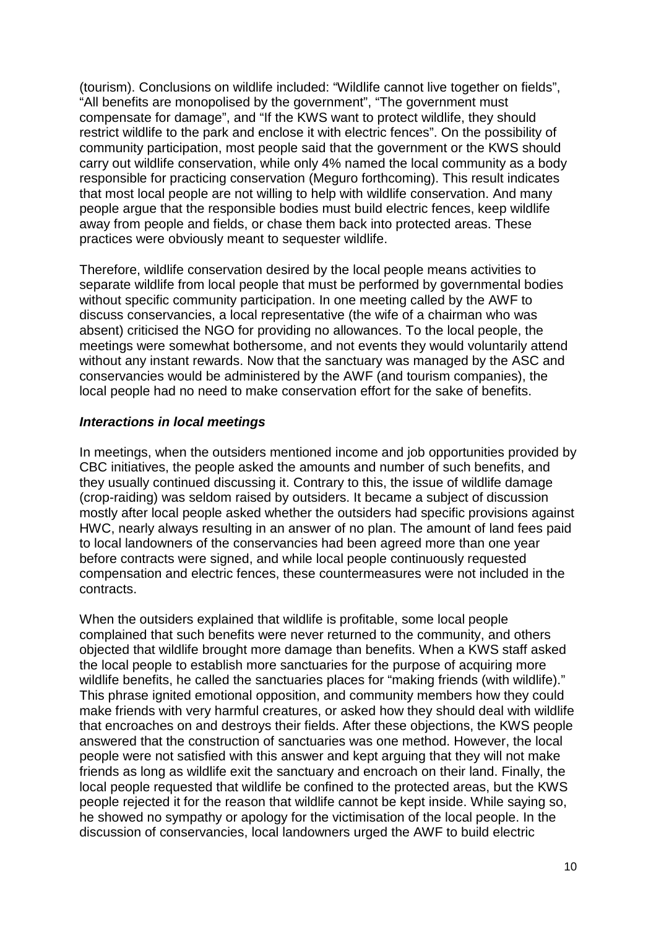(tourism). Conclusions on wildlife included: "Wildlife cannot live together on fields", "All benefits are monopolised by the government", "The government must compensate for damage", and "If the KWS want to protect wildlife, they should restrict wildlife to the park and enclose it with electric fences". On the possibility of community participation, most people said that the government or the KWS should carry out wildlife conservation, while only 4% named the local community as a body responsible for practicing conservation (Meguro forthcoming). This result indicates that most local people are not willing to help with wildlife conservation. And many people argue that the responsible bodies must build electric fences, keep wildlife away from people and fields, or chase them back into protected areas. These practices were obviously meant to sequester wildlife.

Therefore, wildlife conservation desired by the local people means activities to separate wildlife from local people that must be performed by governmental bodies without specific community participation. In one meeting called by the AWF to discuss conservancies, a local representative (the wife of a chairman who was absent) criticised the NGO for providing no allowances. To the local people, the meetings were somewhat bothersome, and not events they would voluntarily attend without any instant rewards. Now that the sanctuary was managed by the ASC and conservancies would be administered by the AWF (and tourism companies), the local people had no need to make conservation effort for the sake of benefits.

### **Interactions in local meetings**

In meetings, when the outsiders mentioned income and job opportunities provided by CBC initiatives, the people asked the amounts and number of such benefits, and they usually continued discussing it. Contrary to this, the issue of wildlife damage (crop-raiding) was seldom raised by outsiders. It became a subject of discussion mostly after local people asked whether the outsiders had specific provisions against HWC, nearly always resulting in an answer of no plan. The amount of land fees paid to local landowners of the conservancies had been agreed more than one year before contracts were signed, and while local people continuously requested compensation and electric fences, these countermeasures were not included in the contracts.

When the outsiders explained that wildlife is profitable, some local people complained that such benefits were never returned to the community, and others objected that wildlife brought more damage than benefits. When a KWS staff asked the local people to establish more sanctuaries for the purpose of acquiring more wildlife benefits, he called the sanctuaries places for "making friends (with wildlife)." This phrase ignited emotional opposition, and community members how they could make friends with very harmful creatures, or asked how they should deal with wildlife that encroaches on and destroys their fields. After these objections, the KWS people answered that the construction of sanctuaries was one method. However, the local people were not satisfied with this answer and kept arguing that they will not make friends as long as wildlife exit the sanctuary and encroach on their land. Finally, the local people requested that wildlife be confined to the protected areas, but the KWS people rejected it for the reason that wildlife cannot be kept inside. While saying so, he showed no sympathy or apology for the victimisation of the local people. In the discussion of conservancies, local landowners urged the AWF to build electric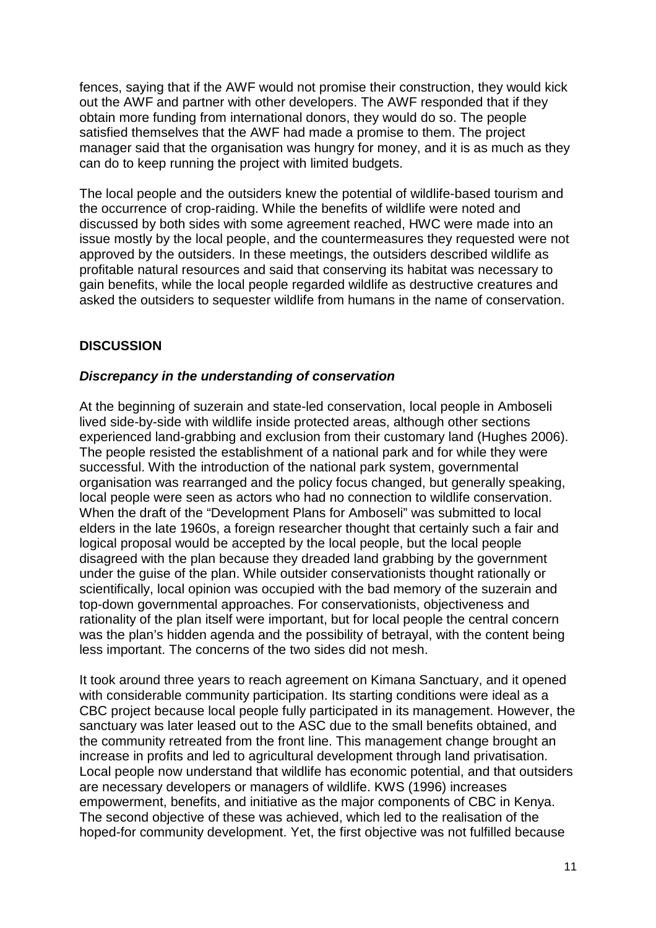fences, saying that if the AWF would not promise their construction, they would kick out the AWF and partner with other developers. The AWF responded that if they obtain more funding from international donors, they would do so. The people satisfied themselves that the AWF had made a promise to them. The project manager said that the organisation was hungry for money, and it is as much as they can do to keep running the project with limited budgets.

The local people and the outsiders knew the potential of wildlife-based tourism and the occurrence of crop-raiding. While the benefits of wildlife were noted and discussed by both sides with some agreement reached, HWC were made into an issue mostly by the local people, and the countermeasures they requested were not approved by the outsiders. In these meetings, the outsiders described wildlife as profitable natural resources and said that conserving its habitat was necessary to gain benefits, while the local people regarded wildlife as destructive creatures and asked the outsiders to sequester wildlife from humans in the name of conservation.

# **DISCUSSION**

### **Discrepancy in the understanding of conservation**

At the beginning of suzerain and state-led conservation, local people in Amboseli lived side-by-side with wildlife inside protected areas, although other sections experienced land-grabbing and exclusion from their customary land (Hughes 2006). The people resisted the establishment of a national park and for while they were successful. With the introduction of the national park system, governmental organisation was rearranged and the policy focus changed, but generally speaking, local people were seen as actors who had no connection to wildlife conservation. When the draft of the "Development Plans for Amboseli" was submitted to local elders in the late 1960s, a foreign researcher thought that certainly such a fair and logical proposal would be accepted by the local people, but the local people disagreed with the plan because they dreaded land grabbing by the government under the guise of the plan. While outsider conservationists thought rationally or scientifically, local opinion was occupied with the bad memory of the suzerain and top-down governmental approaches. For conservationists, objectiveness and rationality of the plan itself were important, but for local people the central concern was the plan's hidden agenda and the possibility of betrayal, with the content being less important. The concerns of the two sides did not mesh.

It took around three years to reach agreement on Kimana Sanctuary, and it opened with considerable community participation. Its starting conditions were ideal as a CBC project because local people fully participated in its management. However, the sanctuary was later leased out to the ASC due to the small benefits obtained, and the community retreated from the front line. This management change brought an increase in profits and led to agricultural development through land privatisation. Local people now understand that wildlife has economic potential, and that outsiders are necessary developers or managers of wildlife. KWS (1996) increases empowerment, benefits, and initiative as the major components of CBC in Kenya. The second objective of these was achieved, which led to the realisation of the hoped-for community development. Yet, the first objective was not fulfilled because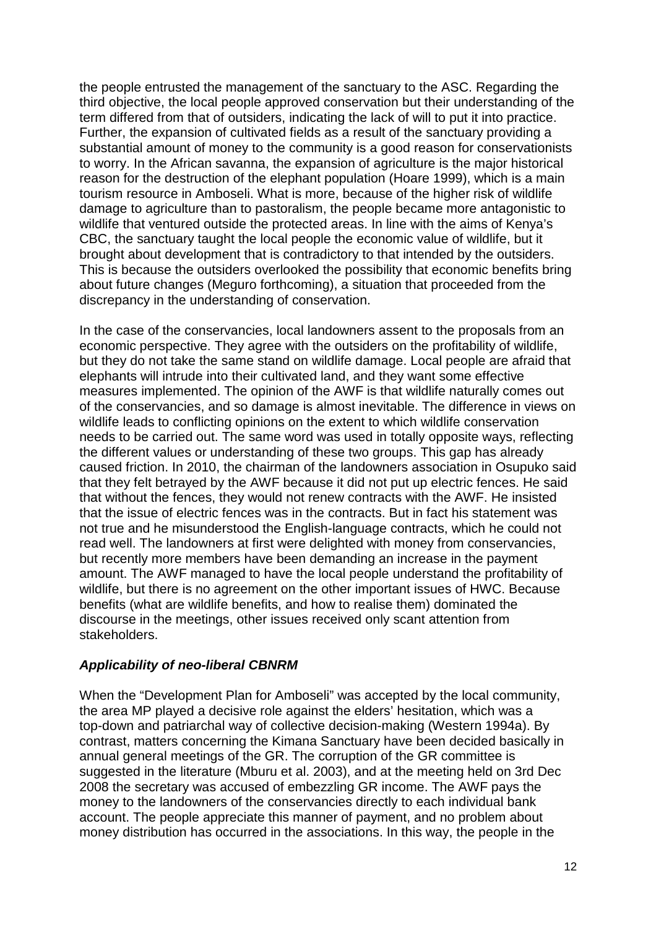the people entrusted the management of the sanctuary to the ASC. Regarding the third objective, the local people approved conservation but their understanding of the term differed from that of outsiders, indicating the lack of will to put it into practice. Further, the expansion of cultivated fields as a result of the sanctuary providing a substantial amount of money to the community is a good reason for conservationists to worry. In the African savanna, the expansion of agriculture is the major historical reason for the destruction of the elephant population (Hoare 1999), which is a main tourism resource in Amboseli. What is more, because of the higher risk of wildlife damage to agriculture than to pastoralism, the people became more antagonistic to wildlife that ventured outside the protected areas. In line with the aims of Kenya's CBC, the sanctuary taught the local people the economic value of wildlife, but it brought about development that is contradictory to that intended by the outsiders. This is because the outsiders overlooked the possibility that economic benefits bring about future changes (Meguro forthcoming), a situation that proceeded from the discrepancy in the understanding of conservation.

In the case of the conservancies, local landowners assent to the proposals from an economic perspective. They agree with the outsiders on the profitability of wildlife, but they do not take the same stand on wildlife damage. Local people are afraid that elephants will intrude into their cultivated land, and they want some effective measures implemented. The opinion of the AWF is that wildlife naturally comes out of the conservancies, and so damage is almost inevitable. The difference in views on wildlife leads to conflicting opinions on the extent to which wildlife conservation needs to be carried out. The same word was used in totally opposite ways, reflecting the different values or understanding of these two groups. This gap has already caused friction. In 2010, the chairman of the landowners association in Osupuko said that they felt betrayed by the AWF because it did not put up electric fences. He said that without the fences, they would not renew contracts with the AWF. He insisted that the issue of electric fences was in the contracts. But in fact his statement was not true and he misunderstood the English-language contracts, which he could not read well. The landowners at first were delighted with money from conservancies, but recently more members have been demanding an increase in the payment amount. The AWF managed to have the local people understand the profitability of wildlife, but there is no agreement on the other important issues of HWC. Because benefits (what are wildlife benefits, and how to realise them) dominated the discourse in the meetings, other issues received only scant attention from stakeholders.

### **Applicability of neo-liberal CBNRM**

When the "Development Plan for Amboseli" was accepted by the local community, the area MP played a decisive role against the elders' hesitation, which was a top-down and patriarchal way of collective decision-making (Western 1994a). By contrast, matters concerning the Kimana Sanctuary have been decided basically in annual general meetings of the GR. The corruption of the GR committee is suggested in the literature (Mburu et al. 2003), and at the meeting held on 3rd Dec 2008 the secretary was accused of embezzling GR income. The AWF pays the money to the landowners of the conservancies directly to each individual bank account. The people appreciate this manner of payment, and no problem about money distribution has occurred in the associations. In this way, the people in the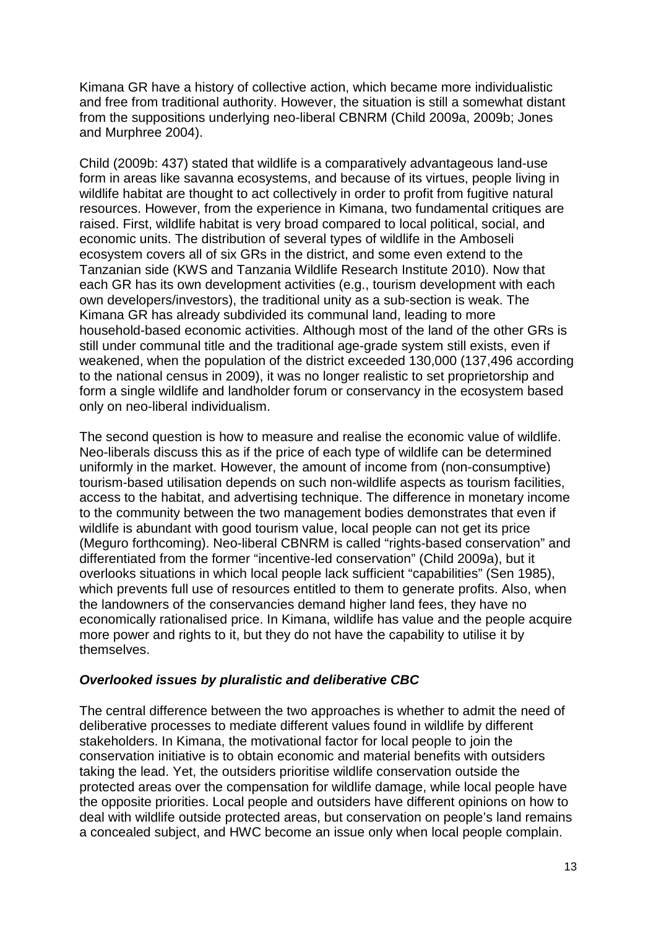Kimana GR have a history of collective action, which became more individualistic and free from traditional authority. However, the situation is still a somewhat distant from the suppositions underlying neo-liberal CBNRM (Child 2009a, 2009b; Jones and Murphree 2004).

Child (2009b: 437) stated that wildlife is a comparatively advantageous land-use form in areas like savanna ecosystems, and because of its virtues, people living in wildlife habitat are thought to act collectively in order to profit from fugitive natural resources. However, from the experience in Kimana, two fundamental critiques are raised. First, wildlife habitat is very broad compared to local political, social, and economic units. The distribution of several types of wildlife in the Amboseli ecosystem covers all of six GRs in the district, and some even extend to the Tanzanian side (KWS and Tanzania Wildlife Research Institute 2010). Now that each GR has its own development activities (e.g., tourism development with each own developers/investors), the traditional unity as a sub-section is weak. The Kimana GR has already subdivided its communal land, leading to more household-based economic activities. Although most of the land of the other GRs is still under communal title and the traditional age-grade system still exists, even if weakened, when the population of the district exceeded 130,000 (137,496 according to the national census in 2009), it was no longer realistic to set proprietorship and form a single wildlife and landholder forum or conservancy in the ecosystem based only on neo-liberal individualism.

The second question is how to measure and realise the economic value of wildlife. Neo-liberals discuss this as if the price of each type of wildlife can be determined uniformly in the market. However, the amount of income from (non-consumptive) tourism-based utilisation depends on such non-wildlife aspects as tourism facilities, access to the habitat, and advertising technique. The difference in monetary income to the community between the two management bodies demonstrates that even if wildlife is abundant with good tourism value, local people can not get its price (Meguro forthcoming). Neo-liberal CBNRM is called "rights-based conservation" and differentiated from the former "incentive-led conservation" (Child 2009a), but it overlooks situations in which local people lack sufficient "capabilities" (Sen 1985), which prevents full use of resources entitled to them to generate profits. Also, when the landowners of the conservancies demand higher land fees, they have no economically rationalised price. In Kimana, wildlife has value and the people acquire more power and rights to it, but they do not have the capability to utilise it by themselves.

### **Overlooked issues by pluralistic and deliberative CBC**

The central difference between the two approaches is whether to admit the need of deliberative processes to mediate different values found in wildlife by different stakeholders. In Kimana, the motivational factor for local people to join the conservation initiative is to obtain economic and material benefits with outsiders taking the lead. Yet, the outsiders prioritise wildlife conservation outside the protected areas over the compensation for wildlife damage, while local people have the opposite priorities. Local people and outsiders have different opinions on how to deal with wildlife outside protected areas, but conservation on people's land remains a concealed subject, and HWC become an issue only when local people complain.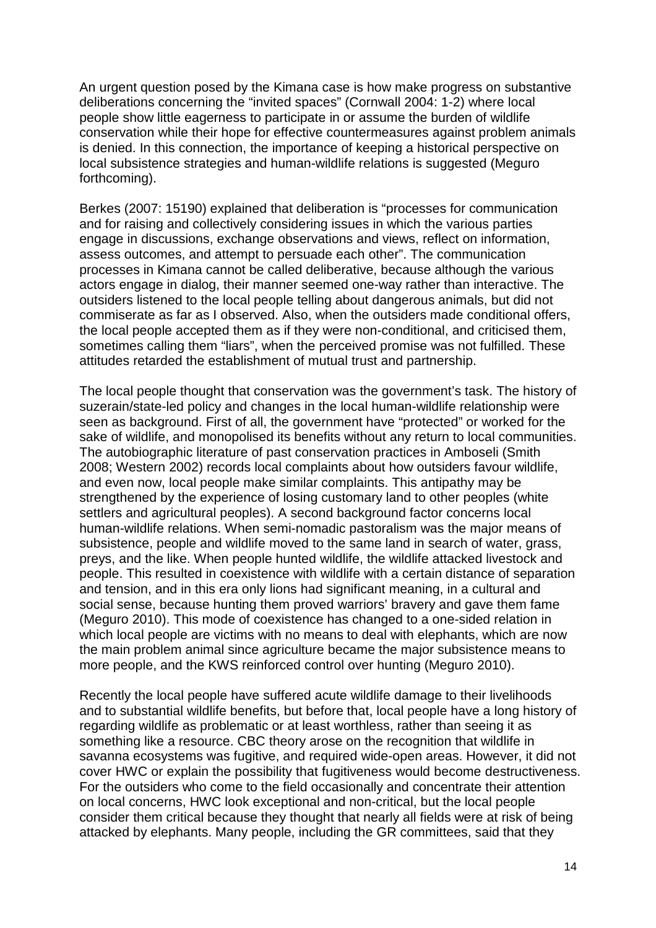An urgent question posed by the Kimana case is how make progress on substantive deliberations concerning the "invited spaces" (Cornwall 2004: 1-2) where local people show little eagerness to participate in or assume the burden of wildlife conservation while their hope for effective countermeasures against problem animals is denied. In this connection, the importance of keeping a historical perspective on local subsistence strategies and human-wildlife relations is suggested (Meguro forthcoming).

Berkes (2007: 15190) explained that deliberation is "processes for communication and for raising and collectively considering issues in which the various parties engage in discussions, exchange observations and views, reflect on information, assess outcomes, and attempt to persuade each other". The communication processes in Kimana cannot be called deliberative, because although the various actors engage in dialog, their manner seemed one-way rather than interactive. The outsiders listened to the local people telling about dangerous animals, but did not commiserate as far as I observed. Also, when the outsiders made conditional offers, the local people accepted them as if they were non-conditional, and criticised them, sometimes calling them "liars", when the perceived promise was not fulfilled. These attitudes retarded the establishment of mutual trust and partnership.

The local people thought that conservation was the government's task. The history of suzerain/state-led policy and changes in the local human-wildlife relationship were seen as background. First of all, the government have "protected" or worked for the sake of wildlife, and monopolised its benefits without any return to local communities. The autobiographic literature of past conservation practices in Amboseli (Smith 2008; Western 2002) records local complaints about how outsiders favour wildlife, and even now, local people make similar complaints. This antipathy may be strengthened by the experience of losing customary land to other peoples (white settlers and agricultural peoples). A second background factor concerns local human-wildlife relations. When semi-nomadic pastoralism was the major means of subsistence, people and wildlife moved to the same land in search of water, grass, preys, and the like. When people hunted wildlife, the wildlife attacked livestock and people. This resulted in coexistence with wildlife with a certain distance of separation and tension, and in this era only lions had significant meaning, in a cultural and social sense, because hunting them proved warriors' bravery and gave them fame (Meguro 2010). This mode of coexistence has changed to a one-sided relation in which local people are victims with no means to deal with elephants, which are now the main problem animal since agriculture became the major subsistence means to more people, and the KWS reinforced control over hunting (Meguro 2010).

Recently the local people have suffered acute wildlife damage to their livelihoods and to substantial wildlife benefits, but before that, local people have a long history of regarding wildlife as problematic or at least worthless, rather than seeing it as something like a resource. CBC theory arose on the recognition that wildlife in savanna ecosystems was fugitive, and required wide-open areas. However, it did not cover HWC or explain the possibility that fugitiveness would become destructiveness. For the outsiders who come to the field occasionally and concentrate their attention on local concerns, HWC look exceptional and non-critical, but the local people consider them critical because they thought that nearly all fields were at risk of being attacked by elephants. Many people, including the GR committees, said that they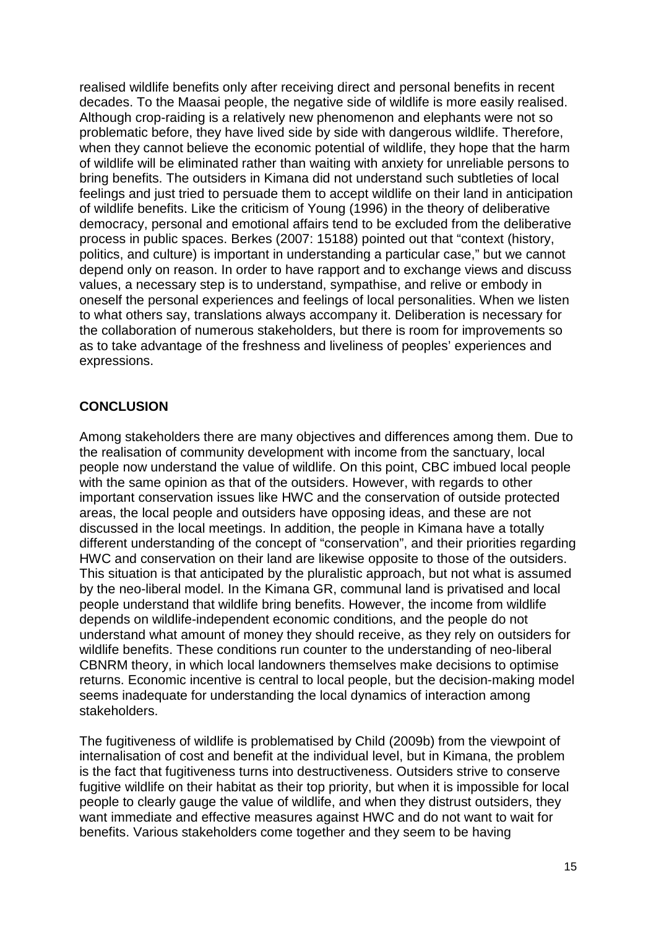realised wildlife benefits only after receiving direct and personal benefits in recent decades. To the Maasai people, the negative side of wildlife is more easily realised. Although crop-raiding is a relatively new phenomenon and elephants were not so problematic before, they have lived side by side with dangerous wildlife. Therefore, when they cannot believe the economic potential of wildlife, they hope that the harm of wildlife will be eliminated rather than waiting with anxiety for unreliable persons to bring benefits. The outsiders in Kimana did not understand such subtleties of local feelings and just tried to persuade them to accept wildlife on their land in anticipation of wildlife benefits. Like the criticism of Young (1996) in the theory of deliberative democracy, personal and emotional affairs tend to be excluded from the deliberative process in public spaces. Berkes (2007: 15188) pointed out that "context (history, politics, and culture) is important in understanding a particular case," but we cannot depend only on reason. In order to have rapport and to exchange views and discuss values, a necessary step is to understand, sympathise, and relive or embody in oneself the personal experiences and feelings of local personalities. When we listen to what others say, translations always accompany it. Deliberation is necessary for the collaboration of numerous stakeholders, but there is room for improvements so as to take advantage of the freshness and liveliness of peoples' experiences and expressions.

### **CONCLUSION**

Among stakeholders there are many objectives and differences among them. Due to the realisation of community development with income from the sanctuary, local people now understand the value of wildlife. On this point, CBC imbued local people with the same opinion as that of the outsiders. However, with regards to other important conservation issues like HWC and the conservation of outside protected areas, the local people and outsiders have opposing ideas, and these are not discussed in the local meetings. In addition, the people in Kimana have a totally different understanding of the concept of "conservation", and their priorities regarding HWC and conservation on their land are likewise opposite to those of the outsiders. This situation is that anticipated by the pluralistic approach, but not what is assumed by the neo-liberal model. In the Kimana GR, communal land is privatised and local people understand that wildlife bring benefits. However, the income from wildlife depends on wildlife-independent economic conditions, and the people do not understand what amount of money they should receive, as they rely on outsiders for wildlife benefits. These conditions run counter to the understanding of neo-liberal CBNRM theory, in which local landowners themselves make decisions to optimise returns. Economic incentive is central to local people, but the decision-making model seems inadequate for understanding the local dynamics of interaction among stakeholders.

The fugitiveness of wildlife is problematised by Child (2009b) from the viewpoint of internalisation of cost and benefit at the individual level, but in Kimana, the problem is the fact that fugitiveness turns into destructiveness. Outsiders strive to conserve fugitive wildlife on their habitat as their top priority, but when it is impossible for local people to clearly gauge the value of wildlife, and when they distrust outsiders, they want immediate and effective measures against HWC and do not want to wait for benefits. Various stakeholders come together and they seem to be having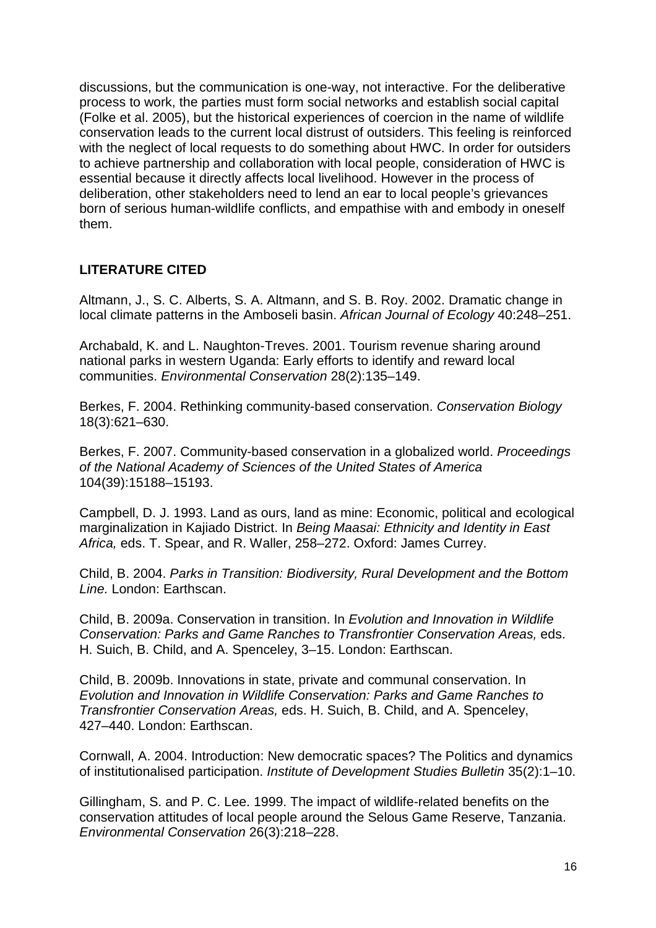discussions, but the communication is one-way, not interactive. For the deliberative process to work, the parties must form social networks and establish social capital (Folke et al. 2005), but the historical experiences of coercion in the name of wildlife conservation leads to the current local distrust of outsiders. This feeling is reinforced with the neglect of local requests to do something about HWC. In order for outsiders to achieve partnership and collaboration with local people, consideration of HWC is essential because it directly affects local livelihood. However in the process of deliberation, other stakeholders need to lend an ear to local people's grievances born of serious human-wildlife conflicts, and empathise with and embody in oneself them.

### **LITERATURE CITED**

Altmann, J., S. C. Alberts, S. A. Altmann, and S. B. Roy. 2002. Dramatic change in local climate patterns in the Amboseli basin. African Journal of Ecology 40:248–251.

Archabald, K. and L. Naughton-Treves. 2001. Tourism revenue sharing around national parks in western Uganda: Early efforts to identify and reward local communities. Environmental Conservation 28(2):135–149.

Berkes, F. 2004. Rethinking community-based conservation. Conservation Biology 18(3):621–630.

Berkes, F. 2007. Community-based conservation in a globalized world. Proceedings of the National Academy of Sciences of the United States of America 104(39):15188–15193.

Campbell, D. J. 1993. Land as ours, land as mine: Economic, political and ecological marginalization in Kajiado District. In Being Maasai: Ethnicity and Identity in East Africa, eds. T. Spear, and R. Waller, 258–272. Oxford: James Currey.

Child, B. 2004. Parks in Transition: Biodiversity, Rural Development and the Bottom Line. London: Earthscan.

Child, B. 2009a. Conservation in transition. In Evolution and Innovation in Wildlife Conservation: Parks and Game Ranches to Transfrontier Conservation Areas, eds. H. Suich, B. Child, and A. Spenceley, 3–15. London: Earthscan.

Child, B. 2009b. Innovations in state, private and communal conservation. In Evolution and Innovation in Wildlife Conservation: Parks and Game Ranches to Transfrontier Conservation Areas, eds. H. Suich, B. Child, and A. Spenceley, 427–440. London: Earthscan.

Cornwall, A. 2004. Introduction: New democratic spaces? The Politics and dynamics of institutionalised participation. Institute of Development Studies Bulletin 35(2):1–10.

Gillingham, S. and P. C. Lee. 1999. The impact of wildlife-related benefits on the conservation attitudes of local people around the Selous Game Reserve, Tanzania. Environmental Conservation 26(3):218–228.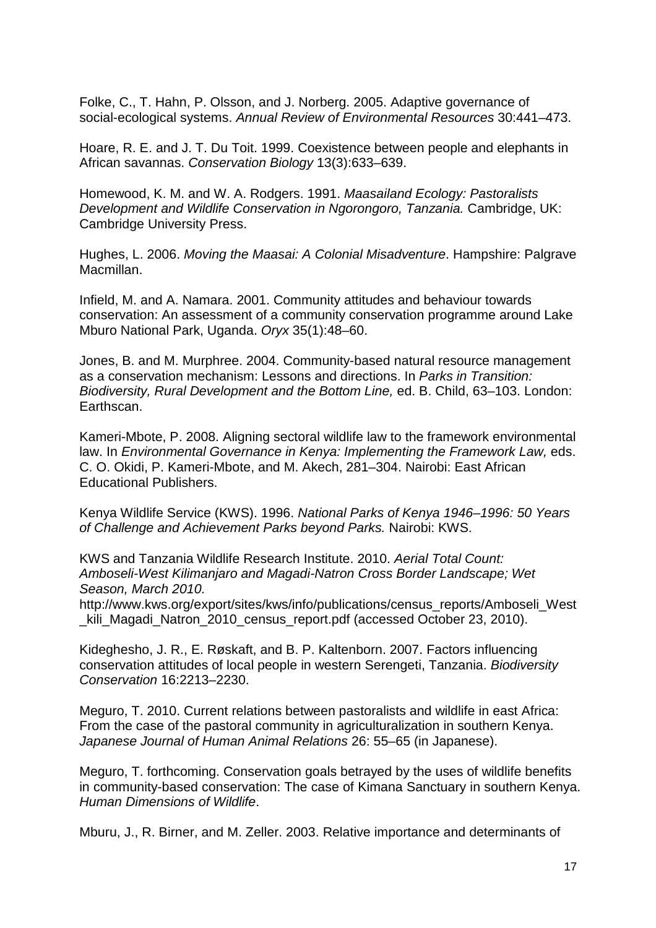Folke, C., T. Hahn, P. Olsson, and J. Norberg. 2005. Adaptive governance of social-ecological systems. Annual Review of Environmental Resources 30:441–473.

Hoare, R. E. and J. T. Du Toit. 1999. Coexistence between people and elephants in African savannas. Conservation Biology 13(3):633–639.

Homewood, K. M. and W. A. Rodgers. 1991. Maasailand Ecology: Pastoralists Development and Wildlife Conservation in Ngorongoro, Tanzania. Cambridge, UK: Cambridge University Press.

Hughes, L. 2006. Moving the Maasai: A Colonial Misadventure. Hampshire: Palgrave Macmillan.

Infield, M. and A. Namara. 2001. Community attitudes and behaviour towards conservation: An assessment of a community conservation programme around Lake Mburo National Park, Uganda. Oryx 35(1):48–60.

Jones, B. and M. Murphree. 2004. Community-based natural resource management as a conservation mechanism: Lessons and directions. In Parks in Transition: Biodiversity, Rural Development and the Bottom Line, ed. B. Child, 63–103. London: Earthscan.

Kameri-Mbote, P. 2008. Aligning sectoral wildlife law to the framework environmental law. In Environmental Governance in Kenya: Implementing the Framework Law, eds. C. O. Okidi, P. Kameri-Mbote, and M. Akech, 281–304. Nairobi: East African Educational Publishers.

Kenya Wildlife Service (KWS). 1996. National Parks of Kenya 1946–1996: 50 Years of Challenge and Achievement Parks beyond Parks. Nairobi: KWS.

KWS and Tanzania Wildlife Research Institute. 2010. Aerial Total Count: Amboseli-West Kilimanjaro and Magadi-Natron Cross Border Landscape; Wet Season, March 2010.

http://www.kws.org/export/sites/kws/info/publications/census\_reports/Amboseli\_West \_kili\_Magadi\_Natron\_2010\_census\_report.pdf (accessed October 23, 2010).

Kideghesho, J. R., E. Røskaft, and B. P. Kaltenborn. 2007. Factors influencing conservation attitudes of local people in western Serengeti, Tanzania. Biodiversity Conservation 16:2213–2230.

Meguro, T. 2010. Current relations between pastoralists and wildlife in east Africa: From the case of the pastoral community in agriculturalization in southern Kenya. Japanese Journal of Human Animal Relations 26: 55–65 (in Japanese).

Meguro, T. forthcoming. Conservation goals betrayed by the uses of wildlife benefits in community-based conservation: The case of Kimana Sanctuary in southern Kenya. Human Dimensions of Wildlife.

Mburu, J., R. Birner, and M. Zeller. 2003. Relative importance and determinants of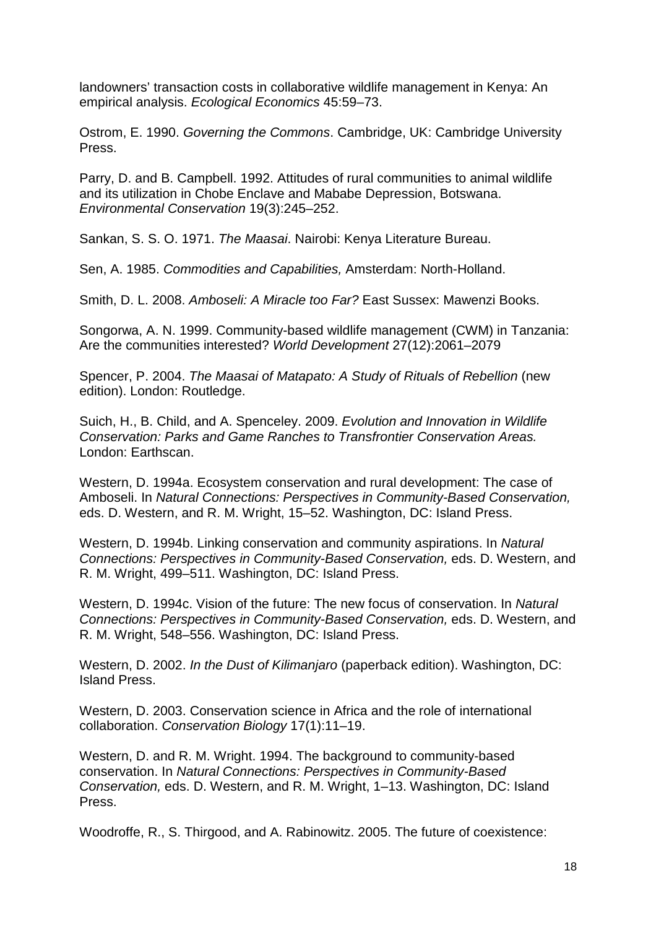landowners' transaction costs in collaborative wildlife management in Kenya: An empirical analysis. Ecological Economics 45:59–73.

Ostrom, E. 1990. Governing the Commons. Cambridge, UK: Cambridge University Press.

Parry, D. and B. Campbell. 1992. Attitudes of rural communities to animal wildlife and its utilization in Chobe Enclave and Mababe Depression, Botswana. Environmental Conservation 19(3):245–252.

Sankan, S. S. O. 1971. The Maasai. Nairobi: Kenya Literature Bureau.

Sen, A. 1985. Commodities and Capabilities, Amsterdam: North-Holland.

Smith, D. L. 2008. Amboseli: A Miracle too Far? East Sussex: Mawenzi Books.

Songorwa, A. N. 1999. Community-based wildlife management (CWM) in Tanzania: Are the communities interested? World Development 27(12):2061–2079

Spencer, P. 2004. The Maasai of Matapato: A Study of Rituals of Rebellion (new edition). London: Routledge.

Suich, H., B. Child, and A. Spenceley. 2009. Evolution and Innovation in Wildlife Conservation: Parks and Game Ranches to Transfrontier Conservation Areas. London: Earthscan.

Western, D. 1994a. Ecosystem conservation and rural development: The case of Amboseli. In Natural Connections: Perspectives in Community-Based Conservation, eds. D. Western, and R. M. Wright, 15–52. Washington, DC: Island Press.

Western, D. 1994b. Linking conservation and community aspirations. In Natural Connections: Perspectives in Community-Based Conservation, eds. D. Western, and R. M. Wright, 499–511. Washington, DC: Island Press.

Western, D. 1994c. Vision of the future: The new focus of conservation. In Natural Connections: Perspectives in Community-Based Conservation, eds. D. Western, and R. M. Wright, 548–556. Washington, DC: Island Press.

Western, D. 2002. In the Dust of Kilimanjaro (paperback edition). Washington, DC: Island Press.

Western, D. 2003. Conservation science in Africa and the role of international collaboration. Conservation Biology 17(1):11–19.

Western, D. and R. M. Wright. 1994. The background to community-based conservation. In Natural Connections: Perspectives in Community-Based Conservation, eds. D. Western, and R. M. Wright, 1–13. Washington, DC: Island Press.

Woodroffe, R., S. Thirgood, and A. Rabinowitz. 2005. The future of coexistence: